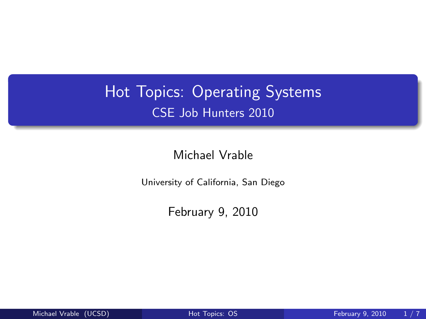## Hot Topics: Operating Systems CSE Job Hunters 2010

Michael Vrable

University of California, San Diego

<span id="page-0-0"></span>February 9, 2010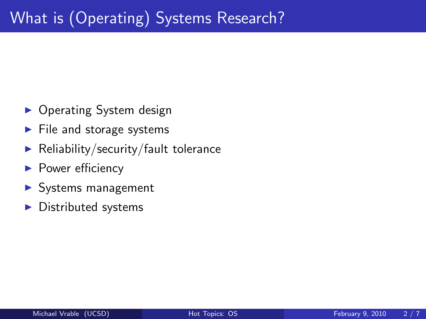- Operating System design
- $\blacktriangleright$  File and storage systems
- $\blacktriangleright$  Reliability/security/fault tolerance
- $\blacktriangleright$  Power efficiency
- $\blacktriangleright$  Systems management
- $\blacktriangleright$  Distributed systems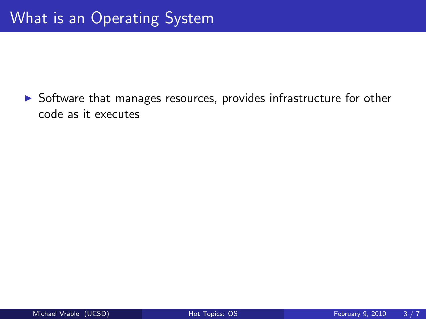$\triangleright$  Software that manages resources, provides infrastructure for other code as it executes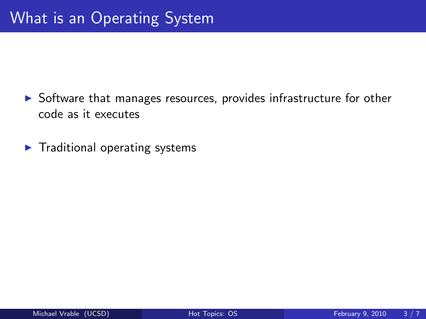- $\triangleright$  Software that manages resources, provides infrastructure for other code as it executes
- $\blacktriangleright$  Traditional operating systems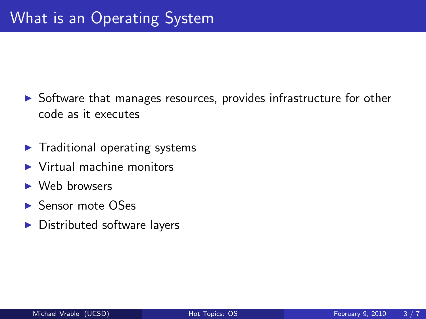- $\triangleright$  Software that manages resources, provides infrastructure for other code as it executes
- $\blacktriangleright$  Traditional operating systems
- $\blacktriangleright$  Virtual machine monitors
- $\blacktriangleright$  Web browsers
- $\blacktriangleright$  Sensor mote OSes
- $\blacktriangleright$  Distributed software layers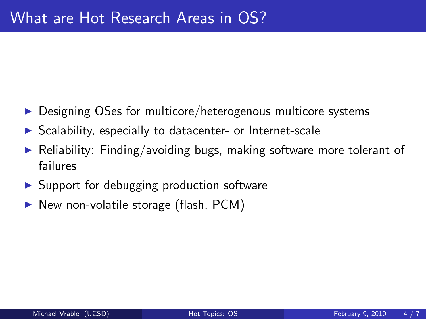- $\triangleright$  Designing OSes for multicore/heterogenous multicore systems
- $\triangleright$  Scalability, especially to datacenter- or Internet-scale
- Reliability: Finding/avoiding bugs, making software more tolerant of failures
- $\triangleright$  Support for debugging production software
- $\triangleright$  New non-volatile storage (flash, PCM)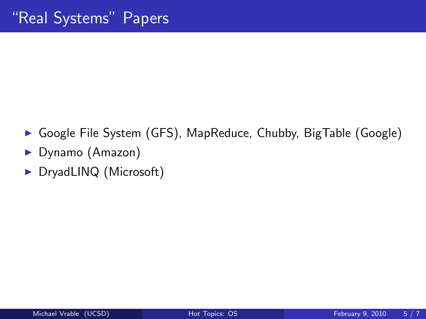- ▶ Google File System (GFS), MapReduce, Chubby, BigTable (Google)
- $\blacktriangleright$  Dynamo (Amazon)
- ▶ DryadLINQ (Microsoft)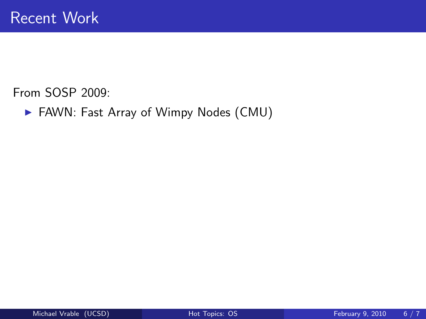▶ FAWN: Fast Array of Wimpy Nodes (CMU)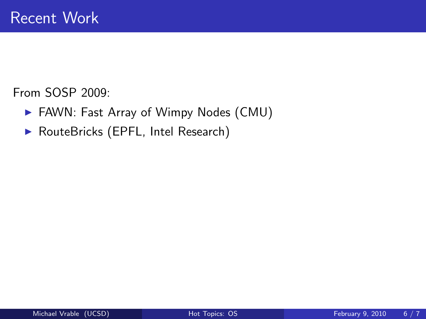- ▶ FAWN: Fast Array of Wimpy Nodes (CMU)
- ▶ RouteBricks (EPFL, Intel Research)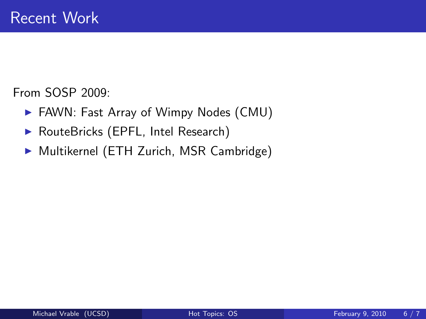- ▶ FAWN: Fast Array of Wimpy Nodes (CMU)
- ▶ RouteBricks (EPFL, Intel Research)
- $\triangleright$  Multikernel (ETH Zurich, MSR Cambridge)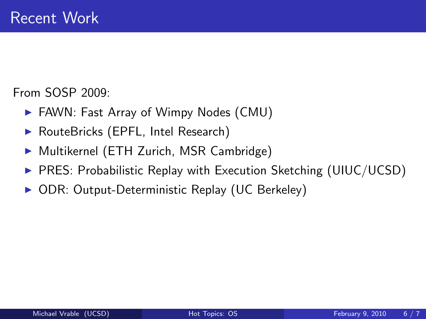- $\blacktriangleright$  FAWN: Fast Array of Wimpy Nodes (CMU)
- ▶ RouteBricks (EPFL, Intel Research)
- ▶ Multikernel (ETH Zurich, MSR Cambridge)
- $\triangleright$  PRES: Probabilistic Replay with Execution Sketching (UIUC/UCSD)
- ▶ ODR: Output-Deterministic Replay (UC Berkeley)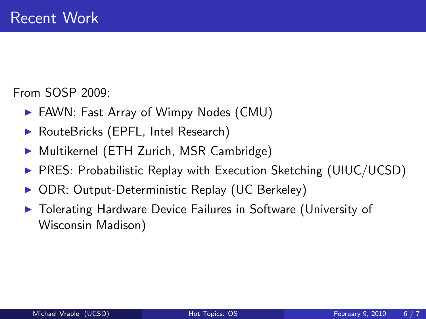- $\blacktriangleright$  FAWN: Fast Array of Wimpy Nodes (CMU)
- ▶ RouteBricks (EPFL, Intel Research)
- ▶ Multikernel (ETH Zurich, MSR Cambridge)
- $\triangleright$  PRES: Probabilistic Replay with Execution Sketching (UIUC/UCSD)
- ▶ ODR: Output-Deterministic Replay (UC Berkeley)
- ▶ Tolerating Hardware Device Failures in Software (University of Wisconsin Madison)